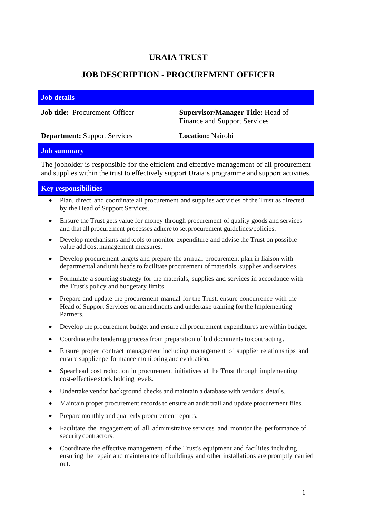## **URAIA TRUST**

## **JOB DESCRIPTION** - **PROCUREMENT OFFICER**

| <b>Job details</b>                    |                                                                                 |
|---------------------------------------|---------------------------------------------------------------------------------|
| <b>Job title:</b> Procurement Officer | <b>Supervisor/Manager Title: Head of</b><br><b>Finance and Support Services</b> |
| <b>Department:</b> Support Services   | <b>Location:</b> Nairobi                                                        |
|                                       |                                                                                 |

## **Job summary**

The jobholder is responsible for the efficient and effective management of all procurement and supplies within the trust to effectively support Uraia's programme and support activities.

## **Key responsibilities**

- Plan, direct, and coordinate all procurement and supplies activities of the Trust as directed by the Head of Support Services.
- Ensure the Trust gets value for money through procurement of quality goods and services and that all procurement processes adhere to set procurement guidelines/policies.
- Develop mechanisms and tools to monitor expenditure and advise the Trust on possible value add cost management measures.
- Develop procurement targets and prepare the annual procurement plan in liaison with departmental and unit heads to facilitate procurement of materials, supplies and services.
- Formulate a sourcing strategy for the materials, supplies and services in accordance with the Trust's policy and budgetary limits.
- Prepare and update the procurement manual for the Trust, ensure concurrence with the Head of Support Services on amendments and undertake training for the Implementing Partners.
- Develop the procurement budget and ensure all procurement expenditures are within budget.
- Coordinate the tendering process from preparation of bid documents to contracting.
- Ensure proper contract management including management of supplier relationships and ensure supplier performance monitoring and evaluation.
- Spearhead cost reduction in procurement initiatives at the Trust through implementing cost-effective stock holding levels.
- Undertake vendor background checks and maintain a database with vendors' details.
- Maintain proper procurement records to ensure an audit trail and update procurement files.
- Prepare monthly and quarterly procurement reports.
- Facilitate the engagement of all administrative services and monitor the performance of security contractors.
- Coordinate the effective management of the Trust's equipment and facilities including ensuring the repair and maintenance of buildings and other installations are promptly carried out.